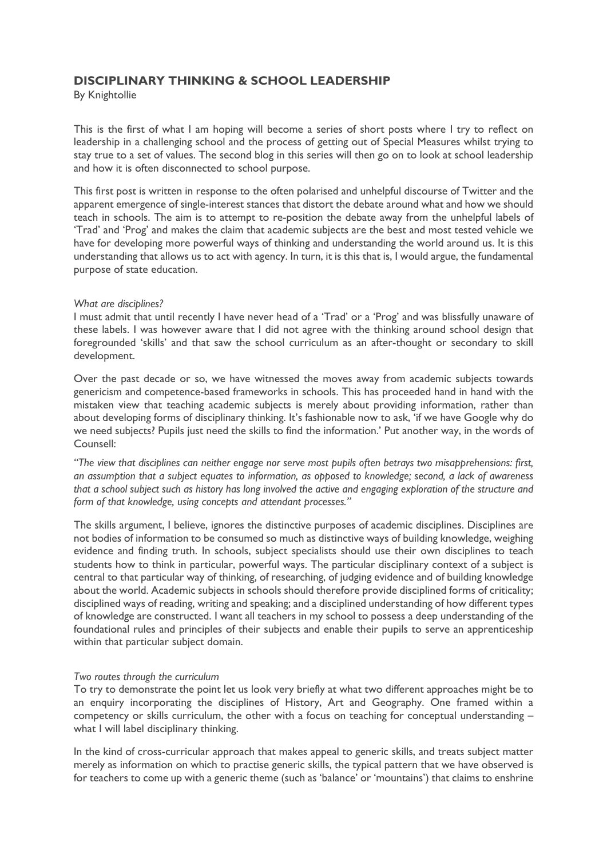## **DISCIPLINARY THINKING & SCHOOL LEADERSHIP**

By Knightollie

This is the first of what I am hoping will become a series of short posts where I try to reflect on leadership in a challenging school and the process of getting out of Special Measures whilst trying to stay true to a set of values. The second blog in this series will then go on to look at school leadership and how it is often disconnected to school purpose.

This first post is written in response to the often polarised and unhelpful discourse of Twitter and the apparent emergence of single-interest stances that distort the debate around what and how we should teach in schools. The aim is to attempt to re-position the debate away from the unhelpful labels of 'Trad' and 'Prog' and makes the claim that academic subjects are the best and most tested vehicle we have for developing more powerful ways of thinking and understanding the world around us. It is this understanding that allows us to act with agency. In turn, it is this that is, I would argue, the fundamental purpose of state education.

## *What are disciplines?*

I must admit that until recently I have never head of a 'Trad' or a 'Prog' and was blissfully unaware of these labels. I was however aware that I did not agree with the thinking around school design that foregrounded 'skills' and that saw the school curriculum as an after-thought or secondary to skill development.

Over the past decade or so, we have witnessed the moves away from academic subjects towards genericism and competence-based frameworks in schools. This has proceeded hand in hand with the mistaken view that teaching academic subjects is merely about providing information, rather than about developing forms of disciplinary thinking. It's fashionable now to ask, 'if we have Google why do we need subjects? Pupils just need the skills to find the information.' Put another way, in the words of Counsell:

*"The view that disciplines can neither engage nor serve most pupils often betrays two misapprehensions: first, an assumption that a subject equates to information, as opposed to knowledge; second, a lack of awareness* that a school subject such as history has long involved the active and engaging exploration of the structure and *form of that knowledge, using concepts and attendant processes."*

The skills argument, I believe, ignores the distinctive purposes of academic disciplines. Disciplines are not bodies of information to be consumed so much as distinctive ways of building knowledge, weighing evidence and finding truth. In schools, subject specialists should use their own disciplines to teach students how to think in particular, powerful ways. The particular disciplinary context of a subject is central to that particular way of thinking, of researching, of judging evidence and of building knowledge about the world. Academic subjects in schools should therefore provide disciplined forms of criticality; disciplined ways of reading, writing and speaking; and a disciplined understanding of how different types of knowledge are constructed. I want all teachers in my school to possess a deep understanding of the foundational rules and principles of their subjects and enable their pupils to serve an apprenticeship within that particular subject domain.

## *Two routes through the curriculum*

To try to demonstrate the point let us look very briefly at what two different approaches might be to an enquiry incorporating the disciplines of History, Art and Geography. One framed within a competency or skills curriculum, the other with a focus on teaching for conceptual understanding – what I will label disciplinary thinking.

In the kind of cross-curricular approach that makes appeal to generic skills, and treats subject matter merely as information on which to practise generic skills, the typical pattern that we have observed is for teachers to come up with a generic theme (such as 'balance' or 'mountains') that claims to enshrine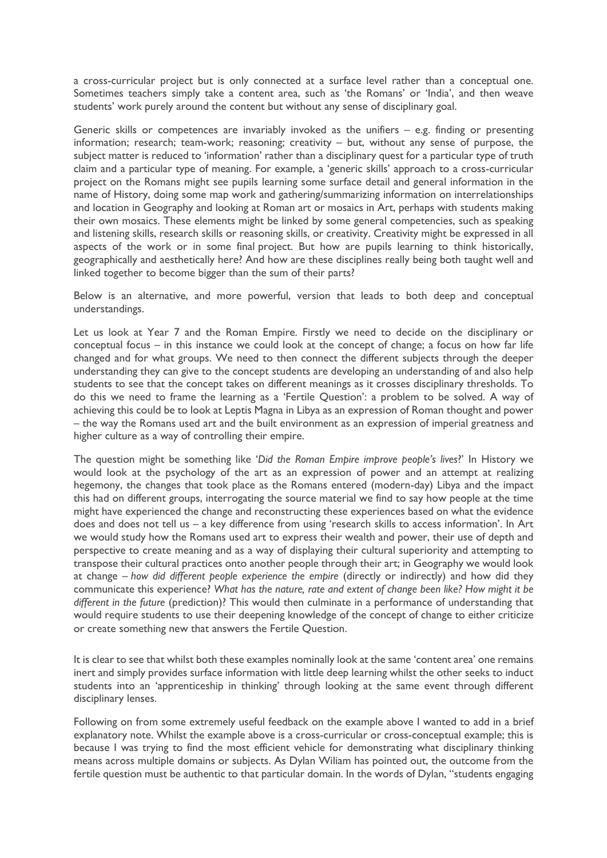a cross-curricular project but is only connected at a surface level rather than a conceptual one. Sometimes teachers simply take a content area, such as 'the Romans' or 'India', and then weave students' work purely around the content but without any sense of disciplinary goal.

Generic skills or competences are invariably invoked as the unifiers – e.g. finding or presenting information; research; team-work; reasoning; creativity – but, without any sense of purpose, the subject matter is reduced to 'information' rather than a disciplinary quest for a particular type of truth claim and a particular type of meaning. For example, a 'generic skills' approach to a cross-curricular project on the Romans might see pupils learning some surface detail and general information in the name of History, doing some map work and gathering/summarizing information on interrelationships and location in Geography and looking at Roman art or mosaics in Art, perhaps with students making their own mosaics. These elements might be linked by some general competencies, such as speaking and listening skills, research skills or reasoning skills, or creativity. Creativity might be expressed in all aspects of the work or in some final project. But how are pupils learning to think historically, geographically and aesthetically here? And how are these disciplines really being both taught well and linked together to become bigger than the sum of their parts?

Below is an alternative, and more powerful, version that leads to both deep and conceptual understandings.

Let us look at Year 7 and the Roman Empire. Firstly we need to decide on the disciplinary or conceptual focus – in this instance we could look at the concept of change; a focus on how far life changed and for what groups. We need to then connect the different subjects through the deeper understanding they can give to the concept students are developing an understanding of and also help students to see that the concept takes on different meanings as it crosses disciplinary thresholds. To do this we need to frame the learning as a 'Fertile Question': a problem to be solved. A way of achieving this could be to look at Leptis Magna in Libya as an expression of Roman thought and power – the way the Romans used art and the built environment as an expression of imperial greatness and higher culture as a way of controlling their empire.

The question might be something like '*Did the Roman Empire improve people's lives*?' In History we would look at the psychology of the art as an expression of power and an attempt at realizing hegemony, the changes that took place as the Romans entered (modern-day) Libya and the impact this had on different groups, interrogating the source material we find to say how people at the time might have experienced the change and reconstructing these experiences based on what the evidence does and does not tell us – a key difference from using 'research skills to access information'. In Art we would study how the Romans used art to express their wealth and power, their use of depth and perspective to create meaning and as a way of displaying their cultural superiority and attempting to transpose their cultural practices onto another people through their art; in Geography we would look at change – *how did different people experience the empire* (directly or indirectly) and how did they communicate this experience? *What has the nature, rate and extent of change been like? How might it be different in the future* (prediction)? This would then culminate in a performance of understanding that would require students to use their deepening knowledge of the concept of change to either criticize or create something new that answers the Fertile Question.

It is clear to see that whilst both these examples nominally look at the same 'content area' one remains inert and simply provides surface information with little deep learning whilst the other seeks to induct students into an 'apprenticeship in thinking' through looking at the same event through different disciplinary lenses.

Following on from some extremely useful feedback on the example above I wanted to add in a brief explanatory note. Whilst the example above is a cross-curricular or cross-conceptual example; this is because I was trying to find the most efficient vehicle for demonstrating what disciplinary thinking means across multiple domains or subjects. As Dylan Wiliam has pointed out, the outcome from the fertile question must be authentic to that particular domain. In the words of Dylan, "students engaging